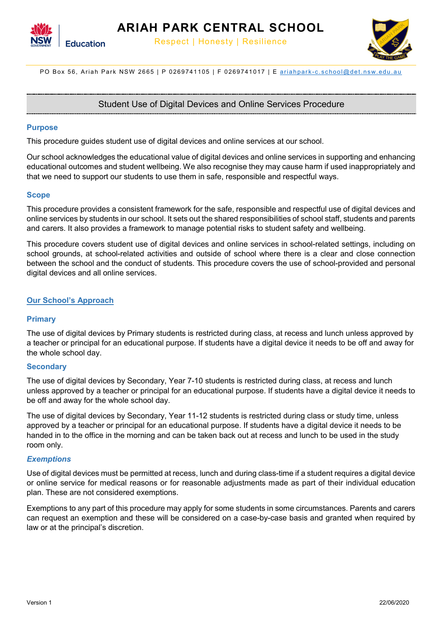



PO Box 56, Ariah Park NSW 2665 | P 0269741105 | F 0269741017 | E ariahpark-[c.school@det.nsw.edu.au](mailto:ariahpark-c.school@det.nsw.edu.au)

# Student Use of Digital Devices and Online Services Procedure

#### **Purpose**

This procedure guides student use of digital devices and online services at our school.

Our school acknowledges the educational value of digital devices and online services in supporting and enhancing educational outcomes and student wellbeing. We also recognise they may cause harm if used inappropriately and that we need to support our students to use them in safe, responsible and respectful ways.

#### **Scope**

This procedure provides a consistent framework for the safe, responsible and respectful use of digital devices and online services by students in our school. It sets out the shared responsibilities of school staff, students and parents and carers. It also provides a framework to manage potential risks to student safety and wellbeing.

This procedure covers student use of digital devices and online services in school-related settings, including on school grounds, at school-related activities and outside of school where there is a clear and close connection between the school and the conduct of students. This procedure covers the use of school-provided and personal digital devices and all online services.

## **Our School's Approach**

#### **Primary**

The use of digital devices by Primary students is restricted during class, at recess and lunch unless approved by a teacher or principal for an educational purpose. If students have a digital device it needs to be off and away for the whole school day.

#### **Secondary**

The use of digital devices by Secondary, Year 7-10 students is restricted during class, at recess and lunch unless approved by a teacher or principal for an educational purpose. If students have a digital device it needs to be off and away for the whole school day.

The use of digital devices by Secondary, Year 11-12 students is restricted during class or study time, unless approved by a teacher or principal for an educational purpose. If students have a digital device it needs to be handed in to the office in the morning and can be taken back out at recess and lunch to be used in the study room only.

#### *Exemptions*

Use of digital devices must be permitted at recess, lunch and during class-time if a student requires a digital device or online service for medical reasons or for reasonable adjustments made as part of their individual education plan. These are not considered exemptions.

Exemptions to any part of this procedure may apply for some students in some circumstances. Parents and carers can request an exemption and these will be considered on a case-by-case basis and granted when required by law or at the principal's discretion.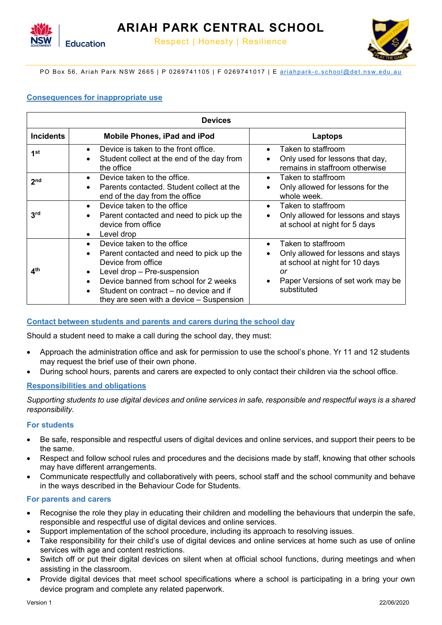

PO Box 56, Ariah Park NSW 2665 | P 0269741105 | F 0269741017 | E ariahpark-[c.school@det.nsw.edu.au](mailto:ariahpark-c.school@det.nsw.edu.au)

## **Consequences for inappropriate use**

| <b>Devices</b>   |                                                                                                                                                                                                                                                                                        |                                                                                                                                                                                             |
|------------------|----------------------------------------------------------------------------------------------------------------------------------------------------------------------------------------------------------------------------------------------------------------------------------------|---------------------------------------------------------------------------------------------------------------------------------------------------------------------------------------------|
| <b>Incidents</b> | <b>Mobile Phones, iPad and iPod</b>                                                                                                                                                                                                                                                    | Laptops                                                                                                                                                                                     |
| 1 <sup>st</sup>  | Device is taken to the front office.<br>$\bullet$<br>Student collect at the end of the day from<br>the office                                                                                                                                                                          | Taken to staffroom<br>$\bullet$<br>Only used for lessons that day,<br>$\bullet$<br>remains in staffroom otherwise                                                                           |
| 2 <sub>nd</sub>  | Device taken to the office.<br>$\bullet$<br>Parents contacted. Student collect at the<br>end of the day from the office                                                                                                                                                                | Taken to staffroom<br>$\bullet$<br>Only allowed for lessons for the<br>$\bullet$<br>whole week.                                                                                             |
| 3 <sup>rd</sup>  | Device taken to the office<br>$\bullet$<br>Parent contacted and need to pick up the<br>device from office<br>Level drop<br>$\bullet$                                                                                                                                                   | Taken to staffroom<br>$\bullet$<br>Only allowed for lessons and stays<br>$\bullet$<br>at school at night for 5 days                                                                         |
| 4 <sup>th</sup>  | Device taken to the office<br>Parent contacted and need to pick up the<br>$\bullet$<br>Device from office<br>Level drop - Pre-suspension<br>Device banned from school for 2 weeks<br>Student on contract – no device and if<br>$\bullet$<br>they are seen with a device $-$ Suspension | Taken to staffroom<br>$\bullet$<br>Only allowed for lessons and stays<br>$\bullet$<br>at school at night for 10 days<br>or<br>Paper Versions of set work may be<br>$\bullet$<br>substituted |

## **Contact between students and parents and carers during the school day**

Should a student need to make a call during the school day, they must:

- Approach the administration office and ask for permission to use the school's phone. Yr 11 and 12 students may request the brief use of their own phone.
- During school hours, parents and carers are expected to only contact their children via the school office.

## **Responsibilities and obligations**

*Supporting students to use digital devices and online services in safe, responsible and respectful ways is a shared responsibility.*

## **For students**

- Be safe, responsible and respectful users of digital devices and online services, and support their peers to be the same.
- Respect and follow school rules and procedures and the decisions made by staff, knowing that other schools may have different arrangements.
- Communicate respectfully and collaboratively with peers, school staff and the school community and behave in the ways described in the Behaviour Code for Students.

## **For parents and carers**

- Recognise the role they play in educating their children and modelling the behaviours that underpin the safe, responsible and respectful use of digital devices and online services.
- Support implementation of the school procedure, including its approach to resolving issues.
- Take responsibility for their child's use of digital devices and online services at home such as use of online services with age and content restrictions.
- Switch off or put their digital devices on silent when at official school functions, during meetings and when assisting in the classroom.
- Provide digital devices that meet school specifications where a school is participating in a bring your own device program and complete any related paperwork.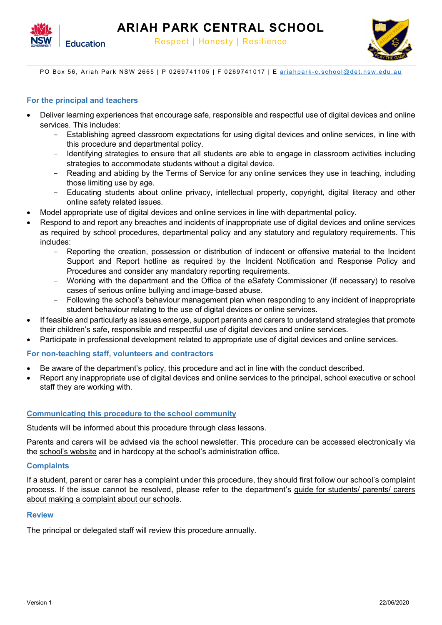



PO Box 56, Ariah Park NSW 2665 | P 0269741105 | F 0269741017 | E ariahpark-[c.school@det.nsw.edu.au](mailto:ariahpark-c.school@det.nsw.edu.au)

## **For the principal and teachers**

- Deliver learning experiences that encourage safe, responsible and respectful use of digital devices and online services. This includes:
	- Establishing agreed classroom expectations for using digital devices and online services, in line with this procedure and departmental policy.
	- Identifying strategies to ensure that all students are able to engage in classroom activities including strategies to accommodate students without a digital device.
	- Reading and abiding by the Terms of Service for any online services they use in teaching, including those limiting use by age.
	- Educating students about online privacy, intellectual property, copyright, digital literacy and other online safety related issues.
- Model appropriate use of digital devices and online services in line with departmental policy.
- Respond to and report any breaches and incidents of inappropriate use of digital devices and online services as required by school procedures, departmental policy and any statutory and regulatory requirements. This includes:
	- Reporting the creation, possession or distribution of indecent or offensive material to the Incident Support and Report hotline as required by the Incident Notification and Response Policy and Procedures and consider any mandatory reporting requirements.
	- Working with the department and the Office of the eSafety Commissioner (if necessary) to resolve cases of serious online bullying and image-based abuse.
	- Following the school's behaviour management plan when responding to any incident of inappropriate student behaviour relating to the use of digital devices or online services.
- If feasible and particularly as issues emerge, support parents and carers to understand strategies that promote their children's safe, responsible and respectful use of digital devices and online services.
- Participate in professional development related to appropriate use of digital devices and online services.

## **For non-teaching staff, volunteers and contractors**

- Be aware of the department's policy, this procedure and act in line with the conduct described.
- Report any inappropriate use of digital devices and online services to the principal, school executive or school staff they are working with.

## **Communicating this procedure to the school community**

Students will be informed about this procedure through class lessons.

Parents and carers will be advised via the school newsletter. This procedure can be accessed electronically via the school's website and in hardcopy at the school's administration office.

## **Complaints**

If a student, parent or carer has a complaint under this procedure, they should first follow our school's complaint process. If the issue cannot be resolved, please refer to the department's guide for students/ parents/ carers about making a complaint about our schools.

## **Review**

The principal or delegated staff will review this procedure annually.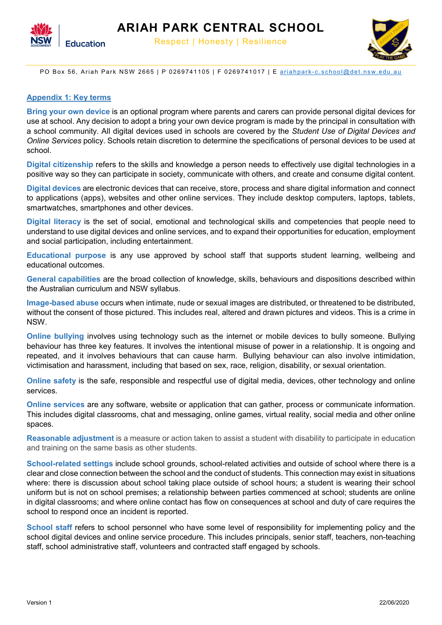



PO Box 56, Ariah Park NSW 2665 | P 0269741105 | F 0269741017 | E ariahpark-[c.school@det.nsw.edu.au](mailto:ariahpark-c.school@det.nsw.edu.au)

## **Appendix 1: Key terms**

**Bring your own device** is an optional program where parents and carers can provide personal digital devices for use at school. Any decision to adopt a bring your own device program is made by the principal in consultation with a school community. All digital devices used in schools are covered by the *Student Use of Digital Devices and Online Services* policy. Schools retain discretion to determine the specifications of personal devices to be used at school.

**Digital citizenship** refers to the skills and knowledge a person needs to effectively use digital technologies in a positive way so they can participate in society, communicate with others, and create and consume digital content.

**Digital devices** are electronic devices that can receive, store, process and share digital information and connect to applications (apps), websites and other online services. They include desktop computers, laptops, tablets, smartwatches, smartphones and other devices.

**Digital literacy** is the set of social, emotional and technological skills and competencies that people need to understand to use digital devices and online services, and to expand their opportunities for education, employment and social participation, including entertainment.

**Educational purpose** is any use approved by school staff that supports student learning, wellbeing and educational outcomes.

**General capabilities** are the broad collection of knowledge, skills, behaviours and dispositions described within the Australian curriculum and NSW syllabus.

**Image-based abuse** occurs when intimate, nude or sexual images are distributed, or threatened to be distributed, without the consent of those pictured. This includes real, altered and drawn pictures and videos. This is a crime in NSW.

**Online bullying** involves using technology such as the internet or mobile devices to bully someone. Bullying behaviour has three key features. It involves the intentional misuse of power in a relationship. It is ongoing and repeated, and it involves behaviours that can cause harm. Bullying behaviour can also involve intimidation, victimisation and harassment, including that based on sex, race, religion, disability, or sexual orientation.

**Online safety** is the safe, responsible and respectful use of digital media, devices, other technology and online services.

**Online services** are any software, website or application that can gather, process or communicate information. This includes digital classrooms, chat and messaging, online games, virtual reality, social media and other online spaces.

**Reasonable adjustment** is a measure or action taken to assist a student with disability to participate in education and training on the same basis as other students.

**School-related settings** include school grounds, school-related activities and outside of school where there is a clear and close connection between the school and the conduct of students. This connection may exist in situations where: there is discussion about school taking place outside of school hours; a student is wearing their school uniform but is not on school premises; a relationship between parties commenced at school; students are online in digital classrooms; and where online contact has flow on consequences at school and duty of care requires the school to respond once an incident is reported.

**School staff** refers to school personnel who have some level of responsibility for implementing policy and the school digital devices and online service procedure. This includes principals, senior staff, teachers, non-teaching staff, school administrative staff, volunteers and contracted staff engaged by schools.